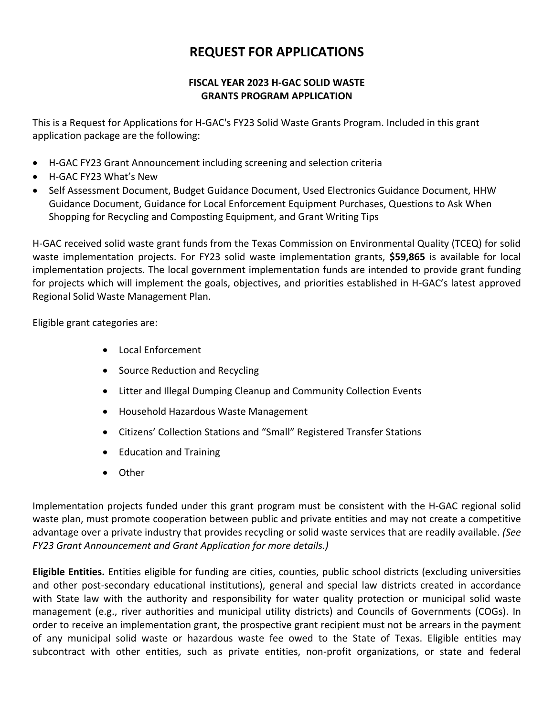## **REQUEST FOR APPLICATIONS**

## **FISCAL YEAR 2023 H-GAC SOLID WASTE GRANTS PROGRAM APPLICATION**

This is a Request for Applications for H-GAC's FY23 Solid Waste Grants Program. Included in this grant application package are the following:

- H-GAC FY23 Grant Announcement including screening and selection criteria
- H-GAC FY23 What's New
- Self Assessment Document, Budget Guidance Document, Used Electronics Guidance Document, HHW Guidance Document, Guidance for Local Enforcement Equipment Purchases, Questions to Ask When Shopping for Recycling and Composting Equipment, and Grant Writing Tips

H-GAC received solid waste grant funds from the Texas Commission on Environmental Quality (TCEQ) for solid waste implementation projects. For FY23 solid waste implementation grants, **\$59,865** is available for local implementation projects. The local government implementation funds are intended to provide grant funding for projects which will implement the goals, objectives, and priorities established in H-GAC's latest approved Regional Solid Waste Management Plan.

Eligible grant categories are:

- Local Enforcement
- Source Reduction and Recycling
- Litter and Illegal Dumping Cleanup and Community Collection Events
- Household Hazardous Waste Management
- Citizens' Collection Stations and "Small" Registered Transfer Stations
- Education and Training
- Other

Implementation projects funded under this grant program must be consistent with the H-GAC regional solid waste plan, must promote cooperation between public and private entities and may not create a competitive advantage over a private industry that provides recycling or solid waste services that are readily available. *(See FY23 Grant Announcement and Grant Application for more details.)*

**Eligible Entities.** Entities eligible for funding are cities, counties, public school districts (excluding universities and other post-secondary educational institutions), general and special law districts created in accordance with State law with the authority and responsibility for water quality protection or municipal solid waste management (e.g., river authorities and municipal utility districts) and Councils of Governments (COGs). In order to receive an implementation grant, the prospective grant recipient must not be arrears in the payment of any municipal solid waste or hazardous waste fee owed to the State of Texas. Eligible entities may subcontract with other entities, such as private entities, non-profit organizations, or state and federal